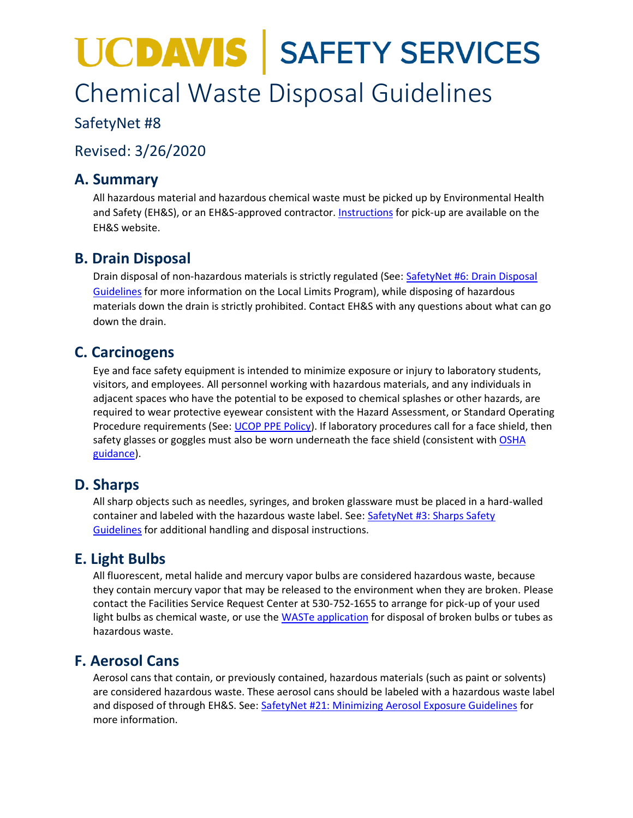# **UCDAVIS | SAFETY SERVICES** Chemical Waste Disposal Guidelines

## SafetyNet #8

Revised: 3/26/2020

## **A. Summary**

All hazardous material and hazardous chemical waste must be picked up by Environmental Health and Safety (EH&S), or an EH&S-approved contractor. [Instructions](https://safetyucd.sf.ucdavis.edu/units/ehs/hazardous-materials-management/waste-tracking) for pick-up are available on the EH&S website.

## **B. Drain Disposal**

Drain disposal of non-hazardous materials is strictly regulated (See: [SafetyNet #6: Drain Disposal](https://safetyucd.sf.ucdavis.edu/safetynets/drain-disposal-guidelines)  [Guidelines](https://safetyucd.sf.ucdavis.edu/safetynets/drain-disposal-guidelines) for more information on the Local Limits Program), while disposing of hazardous materials down the drain is strictly prohibited. Contact EH&S with any questions about what can go down the drain.

## **C. Carcinogens**

Eye and face safety equipment is intended to minimize exposure or injury to laboratory students, visitors, and employees. All personnel working with hazardous materials, and any individuals in adjacent spaces who have the potential to be exposed to chemical splashes or other hazards, are required to wear protective eyewear consistent with the Hazard Assessment, or Standard Operating Procedure requirements (See: [UCOP PPE Policy\)](http://policy.ucop.edu/doc/3500597/PersonalProtectiveEquip). If laboratory procedures call for a face shield, then safety glasses or goggles must also be worn underneath the face shield (consistent with OSHA [guidance\)](https://www.osha.gov/SLTC/etools/eyeandface/faqs.html#face_shields).

## **D. Sharps**

All sharp objects such as needles, syringes, and broken glassware must be placed in a hard-walled container and labeled with the hazardous waste label. See: [SafetyNet #3: Sharps Safety](https://safetyucd.sf.ucdavis.edu/safetynets/sharps-safety-guidelines)  [Guidelines](https://safetyucd.sf.ucdavis.edu/safetynets/sharps-safety-guidelines) for additional handling and disposal instructions.

## **E. Light Bulbs**

All fluorescent, metal halide and mercury vapor bulbs are considered hazardous waste, because they contain mercury vapor that may be released to the environment when they are broken. Please contact the Facilities Service Request Center at 530-752-1655 to arrange for pick-up of your used light bulbs as chemical waste, or use the [WASTe application](http://ehs.ucop.edu/waste) for disposal of broken bulbs or tubes as hazardous waste.

## **F. Aerosol Cans**

Aerosol cans that contain, or previously contained, hazardous materials (such as paint or solvents) are considered hazardous waste. These aerosol cans should be labeled with a hazardous waste label and disposed of through EH&S. See: [SafetyNet #21: Minimizing Aerosol Exposure Guidelines](https://safetyucd.sf.ucdavis.edu/safetynets/minimizing-aerosol-exposure) for more information.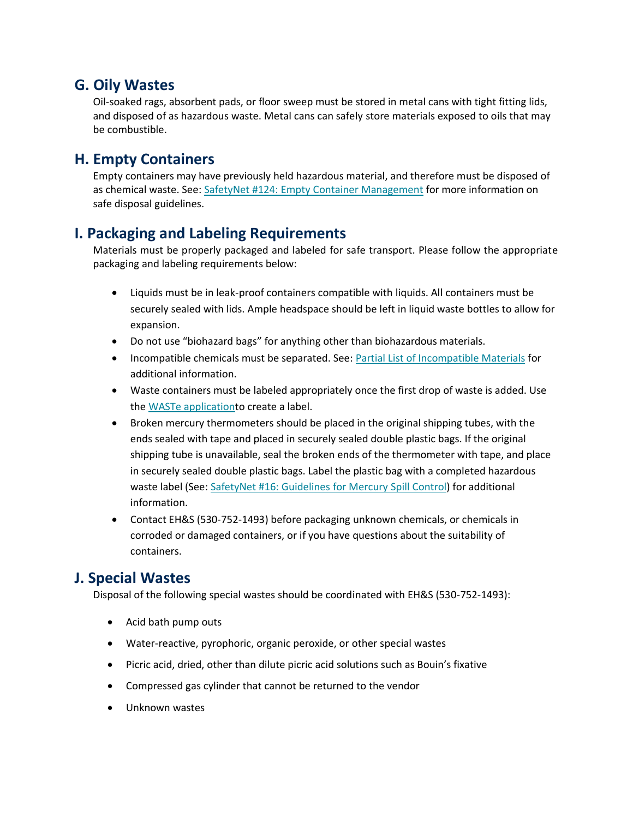### **G. Oily Wastes**

Oil-soaked rags, absorbent pads, or floor sweep must be stored in metal cans with tight fitting lids, and disposed of as hazardous waste. Metal cans can safely store materials exposed to oils that may be combustible.

## **H. Empty Containers**

Empty containers may have previously held hazardous material, and therefore must be disposed of as chemical waste. See: SafetyNet #124: Empty Container [Management](https://safetyucd.sf.ucdavis.edu/safetynets/empty-container-management) for more information on safe disposal guidelines.

## **I. Packaging and Labeling Requirements**

Materials must be properly packaged and labeled for safe transport. Please follow the appropriate packaging and labeling requirements below:

- Liquids must be in leak-proof containers compatible with liquids. All containers must be securely sealed with lids. Ample headspace should be left in liquid waste bottles to allow for expansion.
- Do not use "biohazard bags" for anything other than biohazardous materials.
- Incompatible chemicals must be separated. See: Partial List of [Incompatible](https://ucdavis.box.com/s/wh7r0ajo1wkrh3fzfkumj9qxowh318o9) Materials for additional information.
- Waste containers must be labeled appropriately once the first drop of waste is added. Use the WASTe [applicationt](http://ehs.ucop.edu/waste)o create a label.
- Broken mercury thermometers should be placed in the original shipping tubes, with the ends sealed with tape and placed in securely sealed double plastic bags. If the original shipping tube is unavailable, seal the broken ends of the thermometer with tape, and place in securely sealed double plastic bags. Label the plastic bag with a completed hazardous waste label (See: SafetyNet #16: [Guidelines](https://safetyucd.sf.ucdavis.edu/safetynets/guidelines-for-mercury-spill-control) for Mercury Spill Control) for additional information.
- Contact EH&S (530-752-1493) before packaging unknown chemicals, or chemicals in corroded or damaged containers, or if you have questions about the suitability of containers.

## **J. Special Wastes**

Disposal of the following special wastes should be coordinated with EH&S (530-752-1493):

- Acid bath pump outs
- Water-reactive, pyrophoric, organic peroxide, or other special wastes
- Picric acid, dried, other than dilute picric acid solutions such as Bouin's fixative
- Compressed gas cylinder that cannot be returned to the vendor
- Unknown wastes